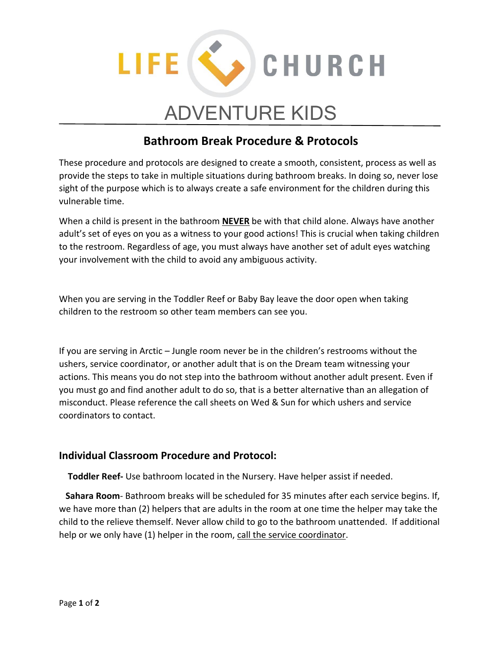

## ADVENTURE KIDS

## **Bathroom Break Procedure & Protocols**

These procedure and protocols are designed to create a smooth, consistent, process as well as provide the steps to take in multiple situations during bathroom breaks. In doing so, never lose sight of the purpose which is to always create a safe environment for the children during this vulnerable time.

When a child is present in the bathroom **NEVER** be with that child alone. Always have another adult's set of eyes on you as a witness to your good actions! This is crucial when taking children to the restroom. Regardless of age, you must always have another set of adult eyes watching your involvement with the child to avoid any ambiguous activity.

When you are serving in the Toddler Reef or Baby Bay leave the door open when taking children to the restroom so other team members can see you.

If you are serving in Arctic – Jungle room never be in the children's restrooms without the ushers, service coordinator, or another adult that is on the Dream team witnessing your actions. This means you do not step into the bathroom without another adult present. Even if you must go and find another adult to do so, that is a better alternative than an allegation of misconduct. Please reference the call sheets on Wed & Sun for which ushers and service coordinators to contact.

## **Individual Classroom Procedure and Protocol:**

 **Toddler Reef-** Use bathroom located in the Nursery. Have helper assist if needed.

 **Sahara Room**- Bathroom breaks will be scheduled for 35 minutes after each service begins. If, we have more than (2) helpers that are adults in the room at one time the helper may take the child to the relieve themself. Never allow child to go to the bathroom unattended. If additional help or we only have (1) helper in the room, call the service coordinator.